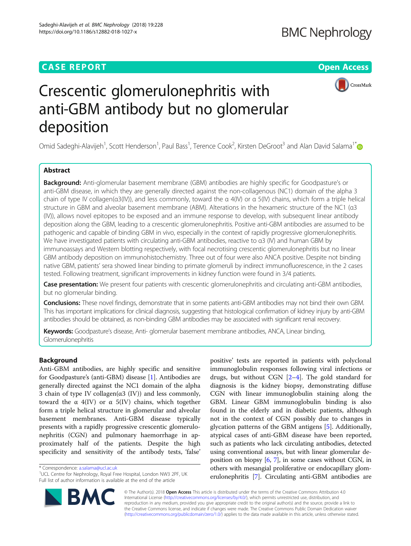# **CASE REPORT CASE REPORT CASE REPORT**



# Crescentic glomerulonephritis with anti-GBM antibody but no glomerular deposition

Omid Sadeghi-Alavijeh<sup>1</sup>, Scott Henderson<sup>1</sup>, Paul Bass<sup>1</sup>, Terence Cook<sup>2</sup>, Kirsten DeGroot<sup>3</sup> and Alan David Salama<sup>1[\\*](http://orcid.org/0000-0002-9255-9092)</sup>

# Abstract

Background: Anti-glomerular basement membrane (GBM) antibodies are highly specific for Goodpasture's or anti-GBM disease, in which they are generally directed against the non-collagenous (NC1) domain of the alpha 3 chain of type IV collagen(α3(IV)), and less commonly, toward the α 4(IV) or α 5(IV) chains, which form a triple helical structure in GBM and alveolar basement membrane (ABM). Alterations in the hexameric structure of the NC1 (α3 (IV)), allows novel epitopes to be exposed and an immune response to develop, with subsequent linear antibody deposition along the GBM, leading to a crescentic glomerulonephritis. Positive anti-GBM antibodies are assumed to be pathogenic and capable of binding GBM in vivo, especially in the context of rapidly progressive glomerulonephritis. We have investigated patients with circulating anti-GBM antibodies, reactive to α3 (IV) and human GBM by immunoassays and Western blotting respectively, with focal necrotising crescentic glomerulonephritis but no linear GBM antibody deposition on immunohistochemistry. Three out of four were also ANCA positive. Despite not binding native GBM, patients' sera showed linear binding to primate glomeruli by indirect immunofluorescence, in the 2 cases tested. Following treatment, significant improvements in kidney function were found in 3/4 patients.

Case presentation: We present four patients with crescentic glomerulonephritis and circulating anti-GBM antibodies, but no glomerular binding.

Conclusions: These novel findings, demonstrate that in some patients anti-GBM antibodies may not bind their own GBM. This has important implications for clinical diagnosis, suggesting that histological confirmation of kidney injury by anti-GBM antibodies should be obtained, as non-binding GBM antibodies may be associated with significant renal recovery.

Keywords: Goodpasture's disease, Anti- glomerular basement membrane antibodies, ANCA, Linear binding, Glomerulonephritis

# Background

Anti-GBM antibodies, are highly specific and sensitive for Goodpasture's (anti-GBM) disease [[1\]](#page-5-0). Antibodies are generally directed against the NC1 domain of the alpha 3 chain of type IV collagen( $\alpha$ 3 (IV)) and less commonly, toward the α  $4$ (IV) or α 5(IV) chains, which together form a triple helical structure in glomerular and alveolar basement membranes. Anti-GBM disease typically presents with a rapidly progressive crescentic glomerulonephritis (CGN) and pulmonary haemorrhage in approximately half of the patients. Despite the high specificity and sensitivity of the antibody tests, 'false'

\* Correspondence: [a.salama@ucl.ac.uk](mailto:a.salama@ucl.ac.uk) <sup>1</sup>

positive' tests are reported in patients with polyclonal immunoglobulin responses following viral infections or drugs, but without CGN [\[2](#page-5-0)–[4\]](#page-5-0). The gold standard for diagnosis is the kidney biopsy, demonstrating diffuse CGN with linear immunoglobulin staining along the GBM. Linear GBM immunoglobulin binding is also found in the elderly and in diabetic patients, although not in the context of CGN possibly due to changes in glycation patterns of the GBM antigens [\[5\]](#page-5-0). Additionally, atypical cases of anti-GBM disease have been reported, such as patients who lack circulating antibodies, detected using conventional assays, but with linear glomerular deposition on biopsy  $[6, 7]$  $[6, 7]$  $[6, 7]$  $[6, 7]$ , in some cases without CGN, in others with mesangial proliferative or endocapillary glomerulonephritis [\[7\]](#page-5-0). Circulating anti-GBM antibodies are



**BM** 

<sup>&</sup>lt;sup>1</sup>UCL Centre for Nephrology, Royal Free Hospital, London NW3 2PF, UK Full list of author information is available at the end of the article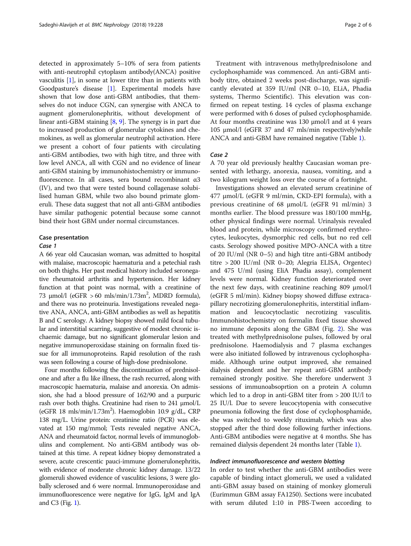detected in approximately 5–10% of sera from patients with anti-neutrophil cytoplasm antibody(ANCA) positive vasculitis [\[1](#page-5-0)], in some at lower titre than in patients with Goodpasture's disease [[1\]](#page-5-0). Experimental models have shown that low dose anti-GBM antibodies, that themselves do not induce CGN, can synergise with ANCA to augment glomerulonephritis, without development of linear anti-GBM staining [[8,](#page-5-0) [9](#page-5-0)]. The synergy is in part due to increased production of glomerular cytokines and chemokines, as well as glomerular neutrophil activation. Here we present a cohort of four patients with circulating anti-GBM antibodies, two with high titre, and three with low level ANCA, all with CGN and no evidence of linear anti-GBM staining by immunohistochemistry or immunofluorescence. In all cases, sera bound recombinant α3 (IV), and two that were tested bound collagenase solubilised human GBM, while two also bound primate glomeruli. These data suggest that not all anti-GBM antibodies have similar pathogenic potential because some cannot bind their host GBM under normal circumstances.

#### Case presentation

#### Case 1

A 66 year old Caucasian woman, was admitted to hospital with malaise, macroscopic haematuria and a petechial rash on both thighs. Her past medical history included seronegative rheumatoid arthritis and hypertension. Her kidney function at that point was normal, with a creatinine of 73 μmol/l (eGFR > 60 mls/min/1.73m<sup>2</sup>, MDRD formula), and there was no proteinuria. Investigations revealed negative ANA, ANCA, anti-GBM antibodies as well as hepatitis B and C serology. A kidney biopsy showed mild focal tubular and interstitial scarring, suggestive of modest chronic ischaemic damage, but no significant glomerular lesion and negative immunoperoxidase staining on formalin fixed tissue for all immunoproteins. Rapid resolution of the rash was seen following a course of high-dose prednisolone.

Four months following the discontinuation of prednisolone and after a flu like illness, the rash recurred, along with macroscopic haematuria, malaise and anorexia. On admission, she had a blood pressure of 162/90 and a purpuric rash over both thighs. Creatinine had risen to 241 μmol/L (eGFR 18 mls/min/1.73m<sup>2</sup>). Haemoglobin 10.9 g/dL, CRP 138 mg/L. Urine protein: creatinine ratio (PCR) was elevated at 150 mg/mmol; Tests revealed negative ANCA, ANA and rheumatoid factor, normal levels of immunoglobulins and complement. No anti-GBM antibody was obtained at this time. A repeat kidney biopsy demonstrated a severe, acute crescentic pauci-immune glomerulonephritis, with evidence of moderate chronic kidney damage. 13/22 glomeruli showed evidence of vasculitic lesions, 3 were globally sclerosed and 6 were normal. Immunoperoxidase and immunofluorescence were negative for IgG, IgM and IgA and C3 (Fig. [1\)](#page-2-0).

Treatment with intravenous methylprednisolone and cyclophosphamide was commenced. An anti-GBM antibody titre, obtained 2 weeks post-discharge, was significantly elevated at 359 IU/ml (NR 0–10, ELiA, Phadia systems, Thermo Scientific). This elevation was confirmed on repeat testing. 14 cycles of plasma exchange were performed with 6 doses of pulsed cyclophosphamide. At four months creatinine was 130 μmol/l and at 4 years 105 μmol/l (eGFR 37 and 47 mls/min respectively)while ANCA and anti-GBM have remained negative (Table [1\)](#page-2-0).

## Case 2

A 70 year old previously healthy Caucasian woman presented with lethargy, anorexia, nausea, vomiting, and a two kilogram weight loss over the course of a fortnight.

Investigations showed an elevated serum creatinine of 477 μmol/L (eGFR 9 ml/min, CKD-EPI formula), with a previous creatinine of 68 μmol/L (eGFR 91 ml/min) 3 months earlier. The blood pressure was 180/100 mmHg, other physical findings were normal. Urinalysis revealed blood and protein, while microscopy confirmed erythrocytes, leukocytes, dysmorphic red cells, but no red cell casts. Serology showed positive MPO-ANCA with a titre of 20 IU/ml (NR 0–5) and high titre anti-GBM antibody titre > 200 IU/ml (NR 0–20; Alegria ELISA, Orgentec) and 475 U/ml (using EliA Phadia assay), complement levels were normal. Kidney function deteriorated over the next few days, with creatinine reaching 809 μmol/l (eGFR 5 ml/min). Kidney biopsy showed diffuse extracapillary necrotizing glomerulonephritis, interstitial inflammation and leucocytoclastic necrotizing vasculitis. Immunohistochemistry on formalin fixed tissue showed no immune deposits along the GBM (Fig. [2](#page-3-0)). She was treated with methylprednisolone pulses, followed by oral prednisolone. Haemodialysis and 7 plasma exchanges were also initiated followed by intravenous cyclophosphamide. Although urine output improved, she remained dialysis dependent and her repeat anti-GBM antibody remained strongly positive. She therefore underwent 3 sessions of immunoabsoprtion on a protein A column which led to a drop in anti-GBM titer from > 200 IU/l to 25 IU/l. Due to severe leucocytopenia with consecutive pneumonia following the first dose of cyclophosphamide, she was switched to weekly rituximab, which was also stopped after the third dose following further infections. Anti-GBM antibodies were negative at 4 months. She has remained dialysis dependent 24 months later (Table [1\)](#page-2-0).

#### Indirect immunofluorescence and western blotting

In order to test whether the anti-GBM antibodies were capable of binding intact glomeruli, we used a validated anti-GBM assay based on staining of monkey glomeruli (Eurimmun GBM assay FA1250). Sections were incubated with serum diluted 1:10 in PBS-Tween according to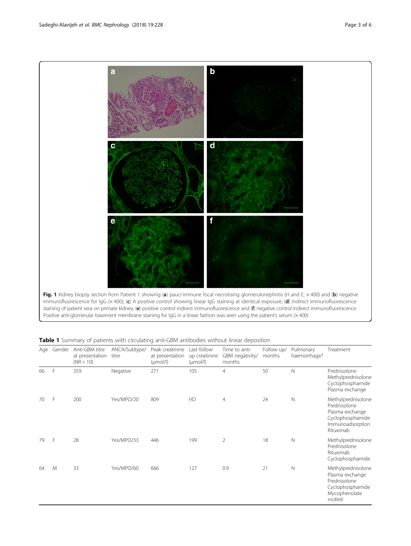<span id="page-2-0"></span>

Positive anti-glomerular basement membrane staining for IgG in a linear fashion was seen using the patient's serum (x 400)

| Age | Gender | Anti-GBM titre<br>at presentation<br>(NR < 10) | ANCA/Subtype/<br>titre | Peak creatinine<br>at presentation<br>$(\mu \text{mol/l})$ | Last follow<br>up creatinine<br>$(\mu \text{mol/l})$ | Time to anti-<br>GBM negativity/<br>months | Follow up/<br>months | Pulmonary<br>haemorrhage? | Treatment                                                                                                  |
|-----|--------|------------------------------------------------|------------------------|------------------------------------------------------------|------------------------------------------------------|--------------------------------------------|----------------------|---------------------------|------------------------------------------------------------------------------------------------------------|
| 66  | F      | 359                                            | Negative               | 271                                                        | 105                                                  | $\overline{4}$                             | 50                   | $\mathsf{N}$              | Prednisolone<br>Methylprednisolone<br>Cyclophosphamide<br>Plasma exchange                                  |
| 70  | F      | 200                                            | Yes/MPO/20             | 809                                                        | HD                                                   | $\overline{4}$                             | 24                   | $\mathbb N$               | Methylprednisolone<br>Prednisolone<br>Plasma exchange<br>Cyclophosphamide<br>Immunoadsorption<br>Rituximab |
| 79  | F      | 28                                             | Yes/MPO/33             | 446                                                        | 199                                                  | $\overline{2}$                             | 18                   | $\mathbb N$               | Methylprednisolone<br>Prednisolone<br>Rituximab<br>Cyclophosphamide                                        |
| 64  | M      | 33                                             | Yes/MPO/60             | 666                                                        | 127                                                  | 0.9                                        | 21                   | $\mathbb N$               | Methylprednisolone<br>Plasma exchange<br>Prednisolone<br>Cyclophosphamide<br>Mycophenolate<br>mofetil      |

# **Table 1** Summary of patients with circulating anti-GBM antibodies without linear deposition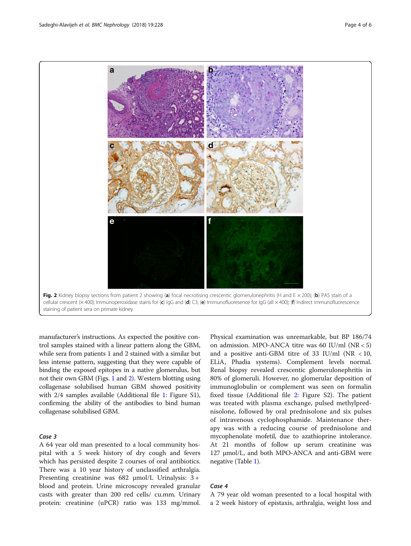<span id="page-3-0"></span>

manufacturer's instructions. As expected the positive control samples stained with a linear pattern along the GBM, while sera from patients 1 and 2 stained with a similar but less intense pattern, suggesting that they were capable of binding the exposed epitopes in a native glomerulus, but not their own GBM (Figs. [1](#page-2-0) and 2). Western blotting using collagenase solubilised human GBM showed positivity with 2/4 samples available (Additional file [1](#page-5-0): Figure S1), confirming the ability of the antibodies to bind human collagenase solubilised GBM.

# Case 3

A 64 year old man presented to a local community hospital with a 5 week history of dry cough and fevers which has persisted despite 2 courses of oral antibiotics. There was a 10 year history of unclassified arthralgia. Presenting creatinine was 682 μmol/L Urinalysis: 3 + blood and protein. Urine microscopy revealed granular casts with greater than 200 red cells/ cu.mm. Urinary protein: creatinine (uPCR) ratio was 133 mg/mmol.

Physical examination was unremarkable, but BP 186/74 on admission. MPO-ANCA titre was 60 IU/ml (NR < 5) and a positive anti-GBM titre of 33 IU/ml ( $NR < 10$ , ELiA, Phadia systems). Complement levels normal. Renal biopsy revealed crescentic glomerulonephritis in 80% of glomeruli. However, no glomerular deposition of immunoglobulin or complement was seen on formalin fixed tissue (Additional file [2](#page-5-0): Figure S2). The patient was treated with plasma exchange, pulsed methylprednisolone, followed by oral prednisolone and six pulses of intravenous cyclophosphamide. Maintenance therapy was with a reducing course of prednisolone and mycophenolate mofetil, due to azathioprine intolerance. At 21 months of follow up serum creatinine was 127 μmol/L, and both MPO-ANCA and anti-GBM were negative (Table [1](#page-2-0)).

# Case 4

A 79 year old woman presented to a local hospital with a 2 week history of epistaxis, arthralgia, weight loss and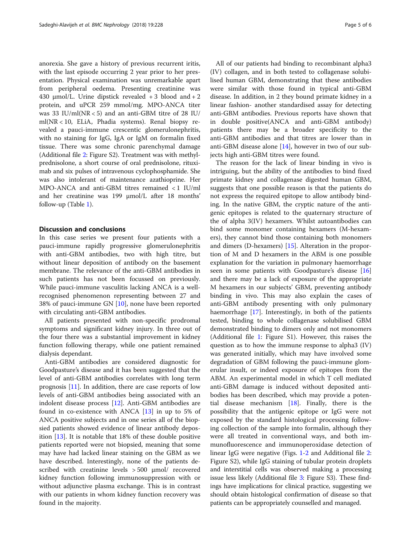anorexia. She gave a history of previous recurrent iritis, with the last episode occurring 2 year prior to her presentation. Physical examination was unremarkable apart from peripheral oedema. Presenting creatinine was 430  $\mu$ mol/L. Urine dipstick revealed + 3 blood and + 2 protein, and uPCR 259 mmol/mg. MPO-ANCA titer was 33 IU/ml(NR < 5) and an anti-GBM titre of 28 IU/ ml(NR < 10, ELiA, Phadia systems). Renal biopsy revealed a pauci-immune crescentic glomerulonephritis, with no staining for IgG, IgA or IgM on formalin fixed tissue. There was some chronic parenchymal damage (Additional file [2:](#page-5-0) Figure S2). Treatment was with methylprednisolone, a short course of oral prednisolone, rituximab and six pulses of intravenous cyclophosphamide. She was also intolerant of maintenance azathioprine. Her MPO-ANCA and anti-GBM titres remained < 1 IU/ml and her creatinine was 199 μmol/L after 18 months' follow-up (Table [1\)](#page-2-0).

## Discussion and conclusions

In this case series we present four patients with a pauci-immune rapidly progressive glomerulonephritis with anti-GBM antibodies, two with high titre, but without linear deposition of antibody on the basement membrane. The relevance of the anti-GBM antibodies in such patients has not been focussed on previously. While pauci-immune vasculitis lacking ANCA is a wellrecognised phenomenon representing between 27 and 38% of pauci-immune GN [[10](#page-5-0)], none have been reported with circulating anti-GBM antibodies.

All patients presented with non-specific prodromal symptoms and significant kidney injury. In three out of the four there was a substantial improvement in kidney function following therapy, while one patient remained dialysis dependant.

Anti-GBM antibodies are considered diagnostic for Goodpasture's disease and it has been suggested that the level of anti-GBM antibodies correlates with long term prognosis [[11](#page-5-0)]. In addition, there are case reports of low levels of anti-GBM antibodies being associated with an indolent disease process [\[12\]](#page-5-0). Anti-GBM antibodies are found in co-existence with ANCA [[13\]](#page-5-0) in up to 5% of ANCA positive subjects and in one series all of the biopsied patients showed evidence of linear antibody deposition [[13\]](#page-5-0). It is notable that 18% of these double positive patients reported were not biopsied, meaning that some may have had lacked linear staining on the GBM as we have described. Interestingly, none of the patients described with creatinine levels > 500 μmol/ recovered kidney function following immunosuppression with or without adjunctive plasma exchange. This is in contrast with our patients in whom kidney function recovery was found in the majority.

All of our patients had binding to recombinant alpha3 (IV) collagen, and in both tested to collagenase solubilised human GBM, demonstrating that these antibodies were similar with those found in typical anti-GBM disease. In addition, in 2 they bound primate kidney in a linear fashion- another standardised assay for detecting anti-GBM antibodies. Previous reports have shown that in double positive(ANCA and anti-GBM antibody) patients there may be a broader specificity to the anti-GBM antibodies and that titres are lower than in anti-GBM disease alone  $[14]$  $[14]$  $[14]$ , however in two of our subjects high anti-GBM titres were found.

The reason for the lack of linear binding in vivo is intriguing, but the ability of the antibodies to bind fixed primate kidney and collagenase digested human GBM, suggests that one possible reason is that the patients do not express the required epitope to allow antibody binding. In the native GBM, the cryptic nature of the antigenic epitopes is related to the quaternary structure of the of alpha 3(IV) hexamers. Whilst autoantibodies can bind some monomer containing hexamers (M-hexamers), they cannot bind those containing both monomers and dimers (D-hexamers) [[15](#page-5-0)]. Alteration in the proportion of M and D hexamers in the ABM is one possible explanation for the variation in pulmonary haemorrhage seen in some patients with Goodpasture's disease [[16](#page-5-0)] and there may be a lack of exposure of the appropriate M hexamers in our subjects' GBM, preventing antibody binding in vivo. This may also explain the cases of anti-GBM antibody presenting with only pulmonary haemorrhage [[17](#page-5-0)]. Interestingly, in both of the patients tested, binding to whole collagenase solubilised GBM demonstrated binding to dimers only and not monomers (Additional file [1](#page-5-0): Figure S1). However, this raises the question as to how the immune response to alpha3 (IV) was generated initially, which may have involved some degradation of GBM following the pauci-immune glomerular insult, or indeed exposure of epitopes from the ABM. An experimental model in which T cell mediated anti-GBM damage is induced without deposited antibodies has been described, which may provide a potential disease mechanism [[18\]](#page-5-0). Finally, there is the possibility that the antigenic epitope or IgG were not exposed by the standard histological processing following collection of the sample into formalin, although they were all treated in conventional ways, and both immunofluorescence and immunoperoxidase detection of linear IgG were negative (Figs. [1](#page-2-0)-[2](#page-3-0) and Additional file [2](#page-5-0): Figure S2), while IgG staining of tubular protein droplets and interstitial cells was observed making a processing issue less likely (Additional file [3](#page-5-0): Figure S3). These findings have implications for clinical practice, suggesting we should obtain histological confirmation of disease so that patients can be appropriately counselled and managed.